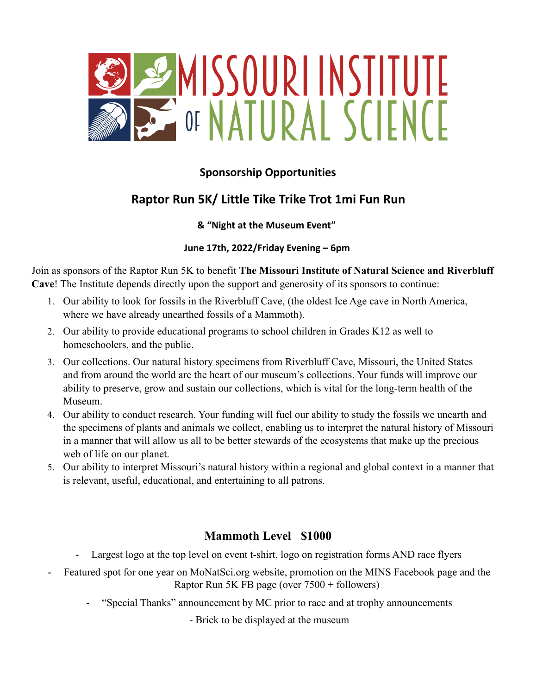

## **Sponsorship Opportunities**

# **Raptor Run 5K/ Little Tike Trike Trot 1mi Fun Run**

#### **& "Night at the Museum Event"**

#### **June 17th, 2022/Friday Evening – 6pm**

Join as sponsors of the Raptor Run 5K to benefit **The Missouri Institute of Natural Science and Riverbluff Cave**! The Institute depends directly upon the support and generosity of its sponsors to continue:

- 1. Our ability to look for fossils in the Riverbluff Cave, (the oldest Ice Age cave in North America, where we have already unearthed fossils of a Mammoth).
- 2. Our ability to provide educational programs to school children in Grades K12 as well to homeschoolers, and the public.
- 3. Our collections. Our natural history specimens from Riverbluff Cave, Missouri, the United States and from around the world are the heart of our museum's collections. Your funds will improve our ability to preserve, grow and sustain our collections, which is vital for the long-term health of the Museum.
- 4. Our ability to conduct research. Your funding will fuel our ability to study the fossils we unearth and the specimens of plants and animals we collect, enabling us to interpret the natural history of Missouri in a manner that will allow us all to be better stewards of the ecosystems that make up the precious web of life on our planet.
- 5. Our ability to interpret Missouri's natural history within a regional and global context in a manner that is relevant, useful, educational, and entertaining to all patrons.

### **Mammoth Level \$1000**

- Largest logo at the top level on event t-shirt, logo on registration forms AND race flyers
- Featured spot for one year on MoNatSci.org website, promotion on the MINS Facebook page and the Raptor Run 5K FB page (over 7500 + followers)
	- "Special Thanks" announcement by MC prior to race and at trophy announcements

- Brick to be displayed at the museum